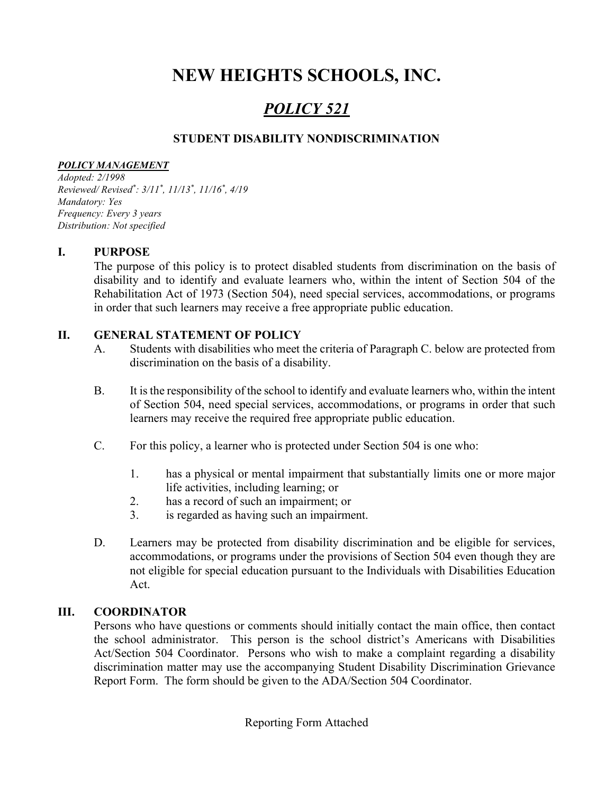# NEW HEIGHTS SCHOOLS, INC.

# POLICY 521

# STUDENT DISABILITY NONDISCRIMINATION

#### POLICY MANAGEMENT

Adopted: 2/1998 Reviewed/ Revised\* : 3/11\* , 11/13\* , 11/16\* , 4/19 Mandatory: Yes Frequency: Every 3 years Distribution: Not specified

#### I. PURPOSE

The purpose of this policy is to protect disabled students from discrimination on the basis of disability and to identify and evaluate learners who, within the intent of Section 504 of the Rehabilitation Act of 1973 (Section 504), need special services, accommodations, or programs in order that such learners may receive a free appropriate public education.

#### II. GENERAL STATEMENT OF POLICY

- A. Students with disabilities who meet the criteria of Paragraph C. below are protected from discrimination on the basis of a disability.
- B. It is the responsibility of the school to identify and evaluate learners who, within the intent of Section 504, need special services, accommodations, or programs in order that such learners may receive the required free appropriate public education.
- C. For this policy, a learner who is protected under Section 504 is one who:
	- 1. has a physical or mental impairment that substantially limits one or more major life activities, including learning; or
	- 2. has a record of such an impairment; or
	- 3. is regarded as having such an impairment.
- D. Learners may be protected from disability discrimination and be eligible for services, accommodations, or programs under the provisions of Section 504 even though they are not eligible for special education pursuant to the Individuals with Disabilities Education Act.

### III. COORDINATOR

Persons who have questions or comments should initially contact the main office, then contact the school administrator. This person is the school district's Americans with Disabilities Act/Section 504 Coordinator. Persons who wish to make a complaint regarding a disability discrimination matter may use the accompanying Student Disability Discrimination Grievance Report Form. The form should be given to the ADA/Section 504 Coordinator.

Reporting Form Attached